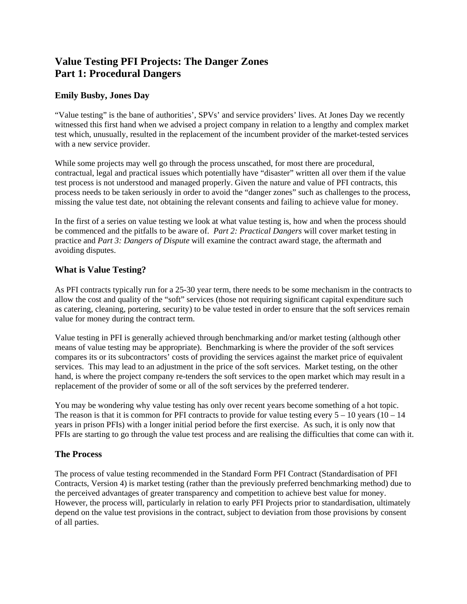# **Value Testing PFI Projects: The Danger Zones Part 1: Procedural Dangers**

#### **Emily Busby, Jones Day**

"Value testing" is the bane of authorities', SPVs' and service providers' lives. At Jones Day we recently witnessed this first hand when we advised a project company in relation to a lengthy and complex market test which, unusually, resulted in the replacement of the incumbent provider of the market-tested services with a new service provider.

While some projects may well go through the process unscathed, for most there are procedural, contractual, legal and practical issues which potentially have "disaster" written all over them if the value test process is not understood and managed properly. Given the nature and value of PFI contracts, this process needs to be taken seriously in order to avoid the "danger zones" such as challenges to the process, missing the value test date, not obtaining the relevant consents and failing to achieve value for money.

In the first of a series on value testing we look at what value testing is, how and when the process should be commenced and the pitfalls to be aware of. *Part 2: Practical Dangers* will cover market testing in practice and *Part 3: Dangers of Dispute* will examine the contract award stage, the aftermath and avoiding disputes.

### **What is Value Testing?**

As PFI contracts typically run for a 25-30 year term, there needs to be some mechanism in the contracts to allow the cost and quality of the "soft" services (those not requiring significant capital expenditure such as catering, cleaning, portering, security) to be value tested in order to ensure that the soft services remain value for money during the contract term.

Value testing in PFI is generally achieved through benchmarking and/or market testing (although other means of value testing may be appropriate). Benchmarking is where the provider of the soft services compares its or its subcontractors' costs of providing the services against the market price of equivalent services. This may lead to an adjustment in the price of the soft services. Market testing, on the other hand, is where the project company re-tenders the soft services to the open market which may result in a replacement of the provider of some or all of the soft services by the preferred tenderer.

You may be wondering why value testing has only over recent years become something of a hot topic. The reason is that it is common for PFI contracts to provide for value testing every  $5 - 10$  years  $(10 - 14)$ years in prison PFIs) with a longer initial period before the first exercise. As such, it is only now that PFIs are starting to go through the value test process and are realising the difficulties that come can with it.

#### **The Process**

The process of value testing recommended in the Standard Form PFI Contract (Standardisation of PFI Contracts, Version 4) is market testing (rather than the previously preferred benchmarking method) due to the perceived advantages of greater transparency and competition to achieve best value for money. However, the process will, particularly in relation to early PFI Projects prior to standardisation, ultimately depend on the value test provisions in the contract, subject to deviation from those provisions by consent of all parties.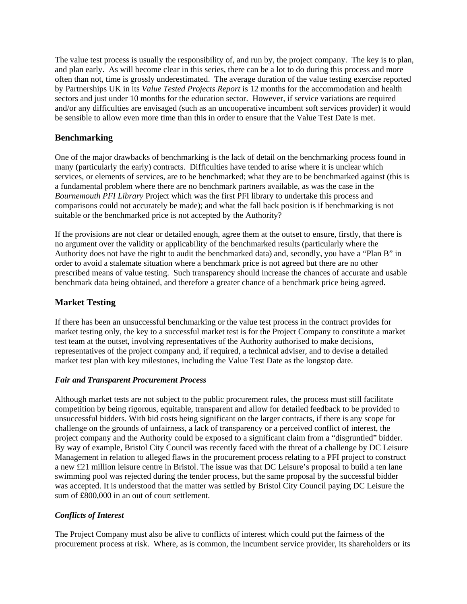The value test process is usually the responsibility of, and run by, the project company. The key is to plan, and plan early. As will become clear in this series, there can be a lot to do during this process and more often than not, time is grossly underestimated. The average duration of the value testing exercise reported by Partnerships UK in its *Value Tested Projects Report* is 12 months for the accommodation and health sectors and just under 10 months for the education sector. However, if service variations are required and/or any difficulties are envisaged (such as an uncooperative incumbent soft services provider) it would be sensible to allow even more time than this in order to ensure that the Value Test Date is met.

#### **Benchmarking**

One of the major drawbacks of benchmarking is the lack of detail on the benchmarking process found in many (particularly the early) contracts. Difficulties have tended to arise where it is unclear which services, or elements of services, are to be benchmarked; what they are to be benchmarked against (this is a fundamental problem where there are no benchmark partners available, as was the case in the *Bournemouth PFI Library* Project which was the first PFI library to undertake this process and comparisons could not accurately be made); and what the fall back position is if benchmarking is not suitable or the benchmarked price is not accepted by the Authority?

If the provisions are not clear or detailed enough, agree them at the outset to ensure, firstly, that there is no argument over the validity or applicability of the benchmarked results (particularly where the Authority does not have the right to audit the benchmarked data) and, secondly, you have a "Plan B" in order to avoid a stalemate situation where a benchmark price is not agreed but there are no other prescribed means of value testing. Such transparency should increase the chances of accurate and usable benchmark data being obtained, and therefore a greater chance of a benchmark price being agreed.

#### **Market Testing**

If there has been an unsuccessful benchmarking or the value test process in the contract provides for market testing only, the key to a successful market test is for the Project Company to constitute a market test team at the outset, involving representatives of the Authority authorised to make decisions, representatives of the project company and, if required, a technical adviser, and to devise a detailed market test plan with key milestones, including the Value Test Date as the longstop date.

#### *Fair and Transparent Procurement Process*

Although market tests are not subject to the public procurement rules, the process must still facilitate competition by being rigorous, equitable, transparent and allow for detailed feedback to be provided to unsuccessful bidders. With bid costs being significant on the larger contracts, if there is any scope for challenge on the grounds of unfairness, a lack of transparency or a perceived conflict of interest, the project company and the Authority could be exposed to a significant claim from a "disgruntled" bidder. By way of example, Bristol City Council was recently faced with the threat of a challenge by DC Leisure Management in relation to alleged flaws in the procurement process relating to a PFI project to construct a new £21 million leisure centre in Bristol. The issue was that DC Leisure's proposal to build a ten lane swimming pool was rejected during the tender process, but the same proposal by the successful bidder was accepted. It is understood that the matter was settled by Bristol City Council paying DC Leisure the sum of £800,000 in an out of court settlement.

#### *Conflicts of Interest*

The Project Company must also be alive to conflicts of interest which could put the fairness of the procurement process at risk. Where, as is common, the incumbent service provider, its shareholders or its